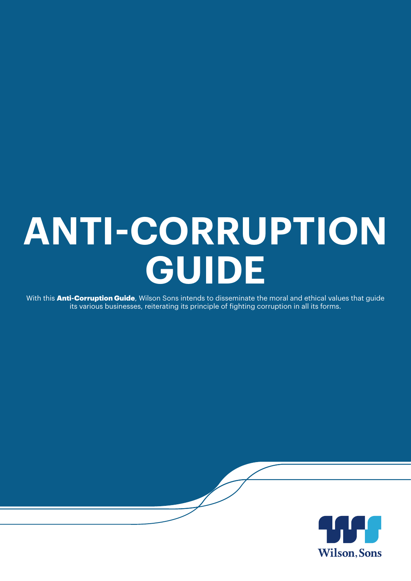### **ANTI-CORRUPTION GUIDE**

With this **Anti-Corruption Guide**, Wilson Sons intends to disseminate the moral and ethical values that guide its various businesses, reiterating its principle of fighting corruption in all its forms.

 $\overline{\phantom{a}}$ 

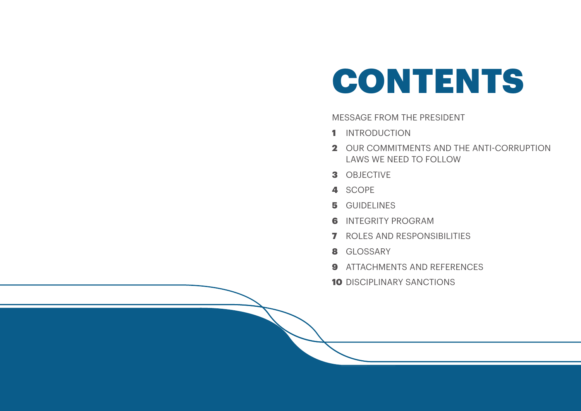MESSAGE FROM THE PRESIDENT

- 1 INTRODUCTION
- LAWS WE NEED TO FOLLOW
- 3 OBJECTIVE
- 4 SCOPE
- 5 GUIDELINES
- **6** INTEGRITY PROGRAM
- **7** ROLES AND RESPONSIBILITIES
- 8 GLOSSARY
- **9** ATTACHMENTS AND REFERENCES
- **10 DISCIPLINARY SANCTIONS**

2 OUR COMMITMENTS AND THE ANTI-CORRUPTION

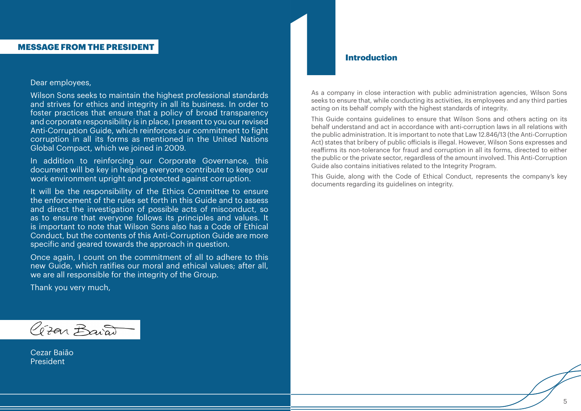As a company in close interaction with public administration agencies, Wilson Sons seeks to ensure that, while conducting its activities, its employees and any third parties acting on its behalf comply with the highest standards of integrity. **Introduction**<br> **Introduction**<br>
As a company in close inter

This Guide contains guidelines to ensure that Wilson Sons and others acting on its behalf understand and act in accordance with anti-corruption laws in all relations with the public administration. It is important to note that Law 12.846/13 (the Anti-Corruption Act) states that bribery of public officials is illegal. However, Wilson Sons expresses and reaffirms its non-tolerance for fraud and corruption in all its forms, directed to either the public or the private sector, regardless of the amount involved. This Anti-Corruption Guide also contains initiatives related to the Integrity Program.

This Guide, along with the Code of Ethical Conduct, represents the company's key documents regarding its guidelines on integrity.

Cezar Baião President

### Dear employees,

Wilson Sons seeks to maintain the highest professional standards and strives for ethics and integrity in all its business. In order to foster practices that ensure that a policy of broad transparency and corporate responsibility is in place, I present to you our revised Anti-Corruption Guide, which reinforces our commitment to fight corruption in all its forms as mentioned in the United Nations Global Compact, which we joined in 2009.

In addition to reinforcing our Corporate Governance, this document will be key in helping everyone contribute to keep our work environment upright and protected against corruption.

It will be the responsibility of the Ethics Committee to ensure the enforcement of the rules set forth in this Guide and to assess and direct the investigation of possible acts of misconduct, so as to ensure that everyone follows its principles and values. It is important to note that Wilson Sons also has a Code of Ethical Conduct, but the contents of this Anti-Corruption Guide are more specific and geared towards the approach in question.

Once again, I count on the commitment of all to adhere to this new Guide, which ratifies our moral and ethical values; after all, we are all responsible for the integrity of the Group.

Thank you very much,

Gran Baiat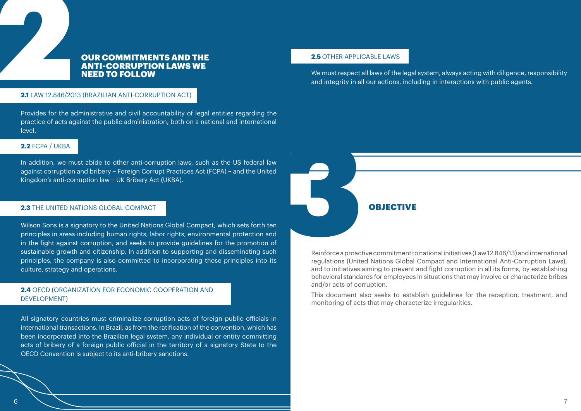### OUR COMMITMENTS AND THE ANTI-CORRUPTION LAWS WE NEED TO FOLLOW

Reinforce a proactive commitment to national initiatives (Law 12.846/13) and international regulations (United Nations Global Compact and International Anti-Corruption Laws), and to initiatives aiming to prevent and fight corruption in all its forms, by establishing behavioral standards for employees in situations that may involve or characterize bribes and/or acts of corruption.

## 2.1 LAW 12.846/20 **2.1** LAW 12.846/2013 (BRAZILIAN ANTI-CORRUPTION ACT)

This document also seeks to establish guidelines for the reception, treatment, and monitoring of acts that may characterize irregularities.

### **2.2** FCPA / UKBA

Provides for the administrative and civil accountability of legal entities regarding the practice of acts against the public administration, both on a national and international level.

In addition, we must abide to other anti-corruption laws, such as the US federal law against corruption and bribery − Foreign Corrupt Practices Act (FCPA) − and the United Kingdom's anti-corruption law − UK Bribery Act (UKBA).

### **2.3** THE UNITED NATIONS GLOBAL COMPACT



Wilson Sons is a signatory to the United Nations Global Compact, which sets forth ten principles in areas including human rights, labor rights, environmental protection and in the fight against corruption, and seeks to provide guidelines for the promotion of sustainable growth and citizenship. In addition to supporting and disseminating such principles, the company is also committed to incorporating those principles into its culture, strategy and operations.

### **2.4** OECD (ORGANIZATION FOR ECONOMIC COOPERATION AND DEVELOPMENT)

All signatory countries must criminalize corruption acts of foreign public officials in international transactions. In Brazil, as from the ratification of the convention, which has been incorporated into the Brazilian legal system, any individual or entity committing acts of bribery of a foreign public official in the territory of a signatory State to the OECD Convention is subject to its anti-bribery sanctions.

### **2.5** OTHER APPLICABLE LAWS

We must respect all laws of the legal system, always acting with diligence, responsibility and integrity in all our actions, including in interactions with public agents.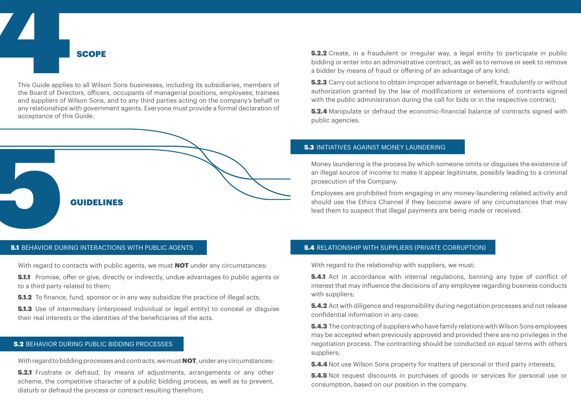This Guide applies This Guide applies to all Wilson Sons businesses, including its subsidiaries, members of the Board of Directors, officers, occupants of managerial positions, employees, trainees and suppliers of Wilson Sons, and to any third parties acting on the company's behalf in any relationships with government agents. Everyone must provide a formal declaration of acceptance of this Guide.

**5.1.1** Promise, offer or give, directly or indirectly, undue advantages to public agents or to a third party related to them;

**5.1.2** To finance, fund, sponsor or in any way subsidize the practice of illegal acts:

SCOPE

**5.1.3** Use of intermediary (interposed individual or legal entity) to conceal or disquise their real interests or the identities of the beneficiaries of the acts.

### **5.2 BEHAVIOR DURING PUBLIC BIDDING PROCESSES**

With regard to bidding processes and contracts, we must **NOT**, under any circumstances:

**5.2.1** Frustrate or defraud, by means of adjustments, arrangements or any other scheme, the competitive character of a public bidding process, as well as to prevent, disturb or defraud the process or contract resulting therefrom;



### **5.1 BEHAVIOR DURING INTERACTIONS WITH PUBLIC AGENTS**

With regard to contacts with public agents, we must **NOT** under any circumstances:

**5.4.1** Act in accordance with internal regulations, banning any type of conflict of interest that may influence the decisions of any employee regarding business conducts with suppliers;

**5.4.2** Act with diligence and responsibility during negotiation processes and not release confidential information in any case;

**5.4.3** The contracting of suppliers who have family relations with Wilson Sons employees may be accepted when previously approved and provided there are no privileges in the negotiation process. The contracting should be conducted on equal terms with others suppliers;

**5.4.4** Not use Wilson Sons property for matters of personal or third party interests;

**5.4.5** Not request discounts in purchases of goods or services for personal use or consumption, based on our position in the company.

Money laundering is the process by which someone omits or disguises the existence of an illegal source of income to make it appear legitimate, possibly leading to a criminal prosecution of the Company.

**5.2.2** Create, in a fraudulent or irregular way, a legal entity to participate in public bidding or enter into an administrative contract, as well as to remove or seek to remove a bidder by means of fraud or offering of an advantage of any kind;

**5.2.3** Carry out actions to obtain improper advantage or benefit, fraudulently or without authorization granted by the law of modifications or extensions of contracts signed with the public administration during the call for bids or in the respective contract:

Employees are prohibited from engaging in any money-laundering related activity and should use the Ethics Channel if they become aware of any circumstances that may lead them to suspect that illegal payments are being made or received.

**5.2.4** Manipulate or defraud the economic-financial balance of contracts signed with public agencies.

### **5.3 INITIATIVES AGAINST MONEY LAUNDERING**

### 5.4 RELATIONSHIP WITH SUPPLIERS (PRIVATE CORRUPTION)

With regard to the relationship with suppliers, we must: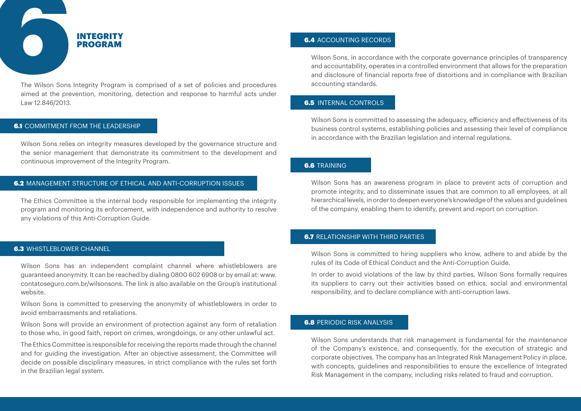### 6.2 MANAGEMENT STRUCTURE OF ETHICAL AND ANTI-CORRUPTION ISSUES

Wilson Sons relies on integrity measures developed by the governance structure and the senior management that demonstrate its commitment to the development and continuous improvement of the Integrity Program.

The Ethics Committee is the internal body responsible for implementing the integrity program and monitoring its enforcement, with independence and authority to resolve any violations of this Anti-Corruption Guide.

### **6.3 WHISTLEBLOWER CHANNEL**

Wilson Sons has an independent complaint channel where whistleblowers are guaranteed anonymity. It can be reached by dialing 0800 602 6908 or by email at: www. contatoseguro.com.br/wilsonsons. The link is also available on the Group's institutional website.

Wilson Sons is committed to preserving the anonymity of whistleblowers in order to avoid embarrassments and retaliations.

Wilson Sons will provide an environment of protection against any form of retaliation to those who, in good faith, report on crimes, wrongdoings, or any other unlawful act.

The Ethics Committee is responsible for receiving the reports made through the channel and for guiding the investigation. After an objective assessment, the Committee will decide on possible disciplinary measures, in strict compliance with the rules set forth in the Brazilian legal system.

### **6.4** ACCOUNTING RECORDS

Wilson Sons, in accordance with the corporate governance principles of transparency and accountability, operates in a controlled environment that allows for the preparation and disclosure of financial reports free of distortions and in compliance with Brazilian accounting standards.

### 6.5 INTERNAL CONTROLS

Wilson Sons is committed to assessing the adequacy, efficiency and effectiveness of its business control systems, establishing policies and assessing their level of compliance in accordance with the Brazilian legislation and internal regulations.

### **6.6 TRAINING**

Wilson Sons has an awareness program in place to prevent acts of corruption and promote integrity, and to disseminate issues that are common to all employees, at all hierarchical levels, in order to deepen everyone's knowledge of the values and guidelines of the company, enabling them to identify, prevent and report on corruption.

### **6.7 RELATIONSHIP WITH THIRD PARTIES**

Wilson Sons is committed to hiring suppliers who know, adhere to and abide by the rules of its Code of Ethical Conduct and the Anti-Corruption Guide.

In order to avoid violations of the law by third parties, Wilson Sons formally requires its suppliers to carry out their activities based on ethics, social and environmental responsibility, and to declare compliance with anti-corruption laws.

### **6.8 PERIODIC RISK ANALYSIS**

Wilson Sons understands that risk management is fundamental for the maintenance of the Company's existence, and consequently, for the execution of strategic and corporate objectives. The company has an Integrated Risk Management Policy in place, with concepts, guidelines and responsibilities to ensure the excellence of Integrated Risk Management in the company, including risks related to fraud and corruption.



The Wilson Sons Integrity Program is comprised of a set of policies and procedures aimed at the prevention, monitoring, detection and response to harmful acts under Law 12.846/2013.

### **6.1 COMMITMENT FROM THE LEADERSHIP**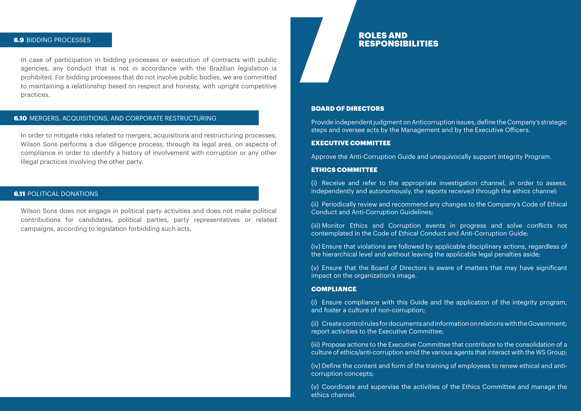### **6.9 BIDDING PROCESSES**

In case of participation in bidding processes or execution of contracts with public agencies, any conduct that is not in accordance with the Brazilian legislation is prohibited. For bidding processes that do not involve public bodies, we are committed to maintaining a relationship based on respect and honesty, with upright competitive practices.

### **6.10** MERGERS, ACQUISITIONS, AND CORPORATE RESTRUCTURING

## ROLES AND ROLES AND<br>RESPONSIBILITIES

In order to mitigate risks related to mergers, acquisitions and restructuring processes, Wilson Sons performs a due diligence process, through its legal area, on aspects of compliance in order to identify a history of involvement with corruption or any other illegal practices involving the other party.

### **6.11 POLITICAL DONATIONS**

Wilson Sons does not engage in political party activities and does not make political contributions for candidates, political parties, party representatives or related campaigns, according to legislation forbidding such acts.

### BOARD OF DIRECTORS

Provide independent judgment on Anticorruption issues, define the Company's strategic steps and oversee acts by the Management and by the Executive Officers.

### EXECUTIVE COMMITTEE

Approve the Anti-Corruption Guide and unequivocally support Integrity Program.

### ETHICS COMMITTEE

(i) Receive and refer to the appropriate investigation channel, in order to assess, independently and autonomously, the reports received through the ethics channel;

(ii) Periodically review and recommend any changes to the Company's Code of Ethical Conduct and Anti-Corruption Guidelines;

(iii) Monitor Ethics and Corruption events in progress and solve conflicts not contemplated in the Code of Ethical Conduct and Anti-Corruption Guide;

(iv) Ensure that violations are followed by applicable disciplinary actions, regardless of the hierarchical level and without leaving the applicable legal penalties aside;

(v) Ensure that the Board of Directors is aware of matters that may have significant impact on the organization's image.

### **COMPLIANCE**

(i) Ensure compliance with this Guide and the application of the integrity program, and foster a culture of non-corruption;

(ii) Create control rules for documents and information on relations with the Government; report activities to the Executive Committee;

(iii) Propose actions to the Executive Committee that contribute to the consolidation of a culture of ethics/anti-corruption amid the various agents that interact with the WS Group;

(iv) Define the content and form of the training of employees to renew ethical and anticorruption concepts;

(v) Coordinate and supervise the activities of the Ethics Committee and manage the ethics channel.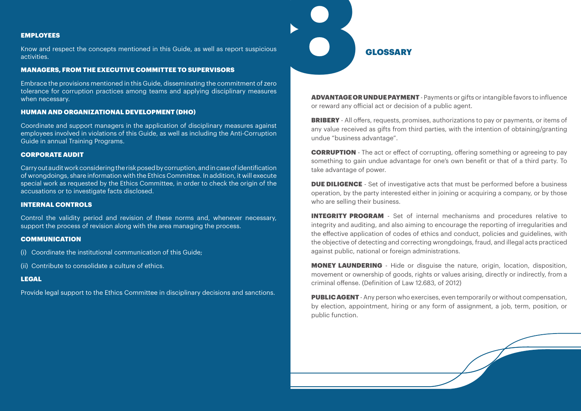ADVANTAGE OR UNDUE PAYMENT - Payments or gifts or intangible favors to influence or reward any official act or decision of a public agent.

**BRIBERY** - All offers, requests, promises, authorizations to pay or payments, or items of any value received as gifts from third parties, with the intention of obtaining/granting undue "business advantage".

**DUE DILIGENCE** - Set of investigative acts that must be performed before a business operation, by the party interested either in joining or acquiring a company, or by those who are selling their business.

CORRUPTION - The act or effect of corrupting, offering something or agreeing to pay something to gain undue advantage for one's own benefit or that of a third party. To take advantage of power.

**PUBLIC AGENT** - Any person who exercises, even temporarily or without compensation, by election, appointment, hiring or any form of assignment, a job, term, position, or public function.

INTEGRITY PROGRAM - Set of internal mechanisms and procedures relative to integrity and auditing, and also aiming to encourage the reporting of irregularities and the effective application of codes of ethics and conduct, policies and guidelines, with the objective of detecting and correcting wrongdoings, fraud, and illegal acts practiced against public, national or foreign administrations.

MONEY LAUNDERING - Hide or disguise the nature, origin, location, disposition, movement or ownership of goods, rights or values arising, directly or indirectly, from a criminal offense. (Definition of Law 12.683, of 2012)

### EMPLOYEES

Know and respect the concepts mentioned in this Guide, as well as report suspicious activities.

### MANAGERS, FROM THE EXECUTIVE COMMITTEE TO SUPERVISORS

Embrace the provisions mentioned in this Guide, disseminating the commitment of zero tolerance for corruption practices among teams and applying disciplinary measures when necessary.

### HUMAN AND ORGANIZATIONAL DEVELOPMENT (DHO)

Coordinate and support managers in the application of disciplinary measures against employees involved in violations of this Guide, as well as including the Anti-Corruption Guide in annual Training Programs.

### CORPORATE AUDIT

Carry out audit work considering the risk posed by corruption, and in case of identification of wrongdoings, share information with the Ethics Committee. In addition, it will execute special work as requested by the Ethics Committee, in order to check the origin of the accusations or to investigate facts disclosed.

### INTERNAL CONTROLS

Control the validity period and revision of these norms and, whenever necessary, support the process of revision along with the area managing the process.

### COMMUNICATION

- (i) Coordinate the institutional communication of this Guide;
- (ii) Contribute to consolidate a culture of ethics.

### LEGAL

Provide legal support to the Ethics Committee in disciplinary decisions and sanctions.

# **CLOSSARY**